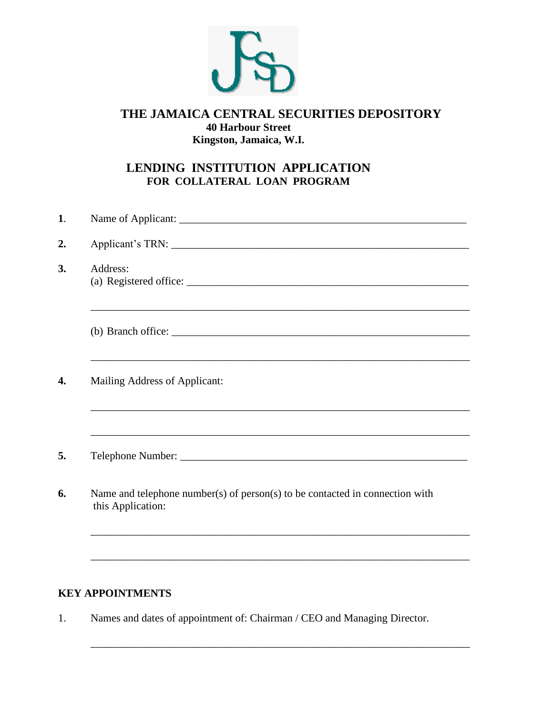

# **THE JAMAICA CENTRAL SECURITIES DEPOSITORY 40 Harbour Street Kingston, Jamaica, W.I.**

# **LENDING INSTITUTION APPLICATION FOR COLLATERAL LOAN PROGRAM**

| 1. |                                                                                                   |
|----|---------------------------------------------------------------------------------------------------|
| 2. |                                                                                                   |
| 3. | Address:                                                                                          |
|    |                                                                                                   |
| 4. | Mailing Address of Applicant:                                                                     |
| 5. | <u> 1989 - Johann Stoff, amerikansk politiker (d. 1989)</u>                                       |
|    | Name and telephone number(s) of person(s) to be contacted in connection with<br>this Application: |
|    |                                                                                                   |

# **KEY APPOINTMENTS**

1. Names and dates of appointment of: Chairman / CEO and Managing Director.

\_\_\_\_\_\_\_\_\_\_\_\_\_\_\_\_\_\_\_\_\_\_\_\_\_\_\_\_\_\_\_\_\_\_\_\_\_\_\_\_\_\_\_\_\_\_\_\_\_\_\_\_\_\_\_\_\_\_\_\_\_\_\_\_\_\_\_\_\_\_